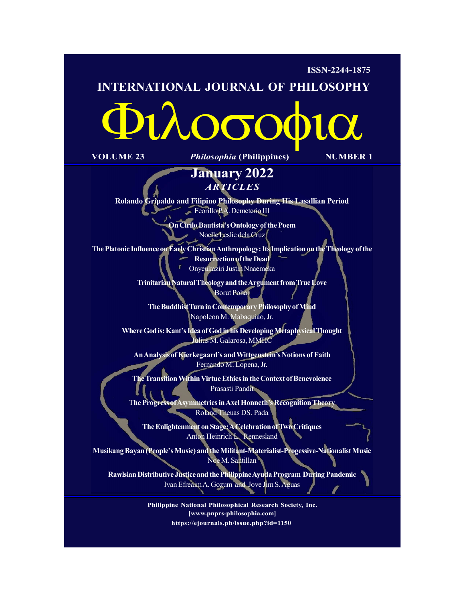